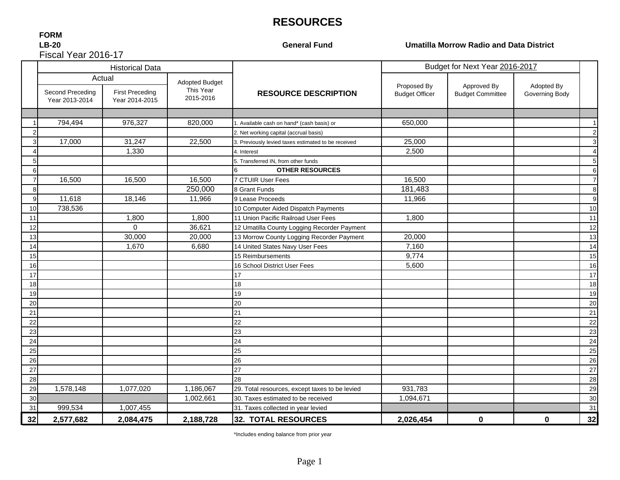## **RESOURCES**

#### **FORM LB-20**Fiscal Year 2016-17

**General Fund**

**Umatilla Morrow Radio and Data District** 

|    |                                    | <b>Historical Data</b>                   |                        |                                                     | Budget for Next Year 2016-2017       |                                        |                              |                |
|----|------------------------------------|------------------------------------------|------------------------|-----------------------------------------------------|--------------------------------------|----------------------------------------|------------------------------|----------------|
|    | Actual<br><b>Adopted Budget</b>    |                                          |                        |                                                     |                                      |                                        |                              |                |
|    | Second Preceding<br>Year 2013-2014 | <b>First Preceding</b><br>Year 2014-2015 | This Year<br>2015-2016 | <b>RESOURCE DESCRIPTION</b>                         | Proposed By<br><b>Budget Officer</b> | Approved By<br><b>Budget Committee</b> | Adopted By<br>Governing Body |                |
|    |                                    |                                          |                        |                                                     |                                      |                                        |                              |                |
|    | 794,494                            | 976,327                                  | 820,000                | I. Available cash on hand* (cash basis) or          | 650,000                              |                                        |                              |                |
|    |                                    |                                          |                        | 2. Net working capital (accrual basis)              |                                      |                                        |                              |                |
|    | 17,000                             | 31,247                                   | 22,500                 | 3. Previously levied taxes estimated to be received | 25,000                               |                                        |                              | 3              |
|    |                                    | 1,330                                    |                        | 4. Interest                                         | 2,500                                |                                        |                              |                |
|    |                                    |                                          |                        | 5. Transferred IN, from other funds                 |                                      |                                        |                              | 5              |
| ิค |                                    |                                          |                        | <b>OTHER RESOURCES</b>                              |                                      |                                        |                              | 6              |
|    | 16,500                             | 16,500                                   | 16,500                 | 7 CTUIR User Fees                                   | 16,500                               |                                        |                              | $\overline{7}$ |
| 8  |                                    |                                          | 250,000                | 8 Grant Funds                                       | 181,483                              |                                        |                              | 8              |
| 9  | 11,618                             | 18,146                                   | 11,966                 | 9 Lease Proceeds                                    | 11,966                               |                                        |                              | 9              |
| 10 | 738,536                            |                                          |                        | 10 Computer Aided Dispatch Payments                 |                                      |                                        |                              | 10             |
| 11 |                                    | 1,800                                    | 1,800                  | 11 Union Pacific Railroad User Fees                 | 1,800                                |                                        |                              | 11             |
| 12 |                                    | $\Omega$                                 | 36,621                 | 12 Umatilla County Logging Recorder Payment         |                                      |                                        |                              | 12             |
| 13 |                                    | 30,000                                   | 20,000                 | 13 Morrow County Logging Recorder Payment           | 20,000                               |                                        |                              | 13             |
| 14 |                                    | 1,670                                    | 6,680                  | 14 United States Navy User Fees                     | 7,160                                |                                        |                              | 14             |
| 15 |                                    |                                          |                        | 15 Reimbursements                                   | 9,774                                |                                        |                              | 15             |
| 16 |                                    |                                          |                        | 16 School District User Fees                        | 5,600                                |                                        |                              | 16             |
| 17 |                                    |                                          |                        | 17                                                  |                                      |                                        |                              | 17             |
| 18 |                                    |                                          |                        | 18                                                  |                                      |                                        |                              | 18             |
| 19 |                                    |                                          |                        | 19                                                  |                                      |                                        |                              | 19             |
| 20 |                                    |                                          |                        | 20                                                  |                                      |                                        |                              | 20             |
| 21 |                                    |                                          |                        | 21                                                  |                                      |                                        |                              | 21             |
| 22 |                                    |                                          |                        | 22                                                  |                                      |                                        |                              | 22             |
| 23 |                                    |                                          |                        | 23                                                  |                                      |                                        |                              | 23             |
| 24 |                                    |                                          |                        | 24                                                  |                                      |                                        |                              | 24             |
| 25 |                                    |                                          |                        | 25                                                  |                                      |                                        |                              | 25             |
| 26 |                                    |                                          |                        | 26                                                  |                                      |                                        |                              | 26             |
| 27 |                                    |                                          |                        | 27                                                  |                                      |                                        |                              | 27             |
| 28 |                                    |                                          |                        | 28                                                  |                                      |                                        |                              | 28             |
| 29 | 1,578,148                          | 1,077,020                                | 1,186,067              | 29. Total resources, except taxes to be levied      | 931,783                              |                                        |                              | 29             |
| 30 |                                    |                                          | 1,002,661              | 30. Taxes estimated to be received                  | 1,094,671                            |                                        |                              | 30             |
| 31 | 999,534                            | 1,007,455                                |                        | 31. Taxes collected in year levied                  |                                      |                                        |                              | 31             |
| 32 | 2,577,682                          | 2,084,475                                | 2,188,728              | 32. TOTAL RESOURCES                                 | 2,026,454                            | $\bf{0}$                               | $\bf{0}$                     | 32             |

\*Includes ending balance from prior year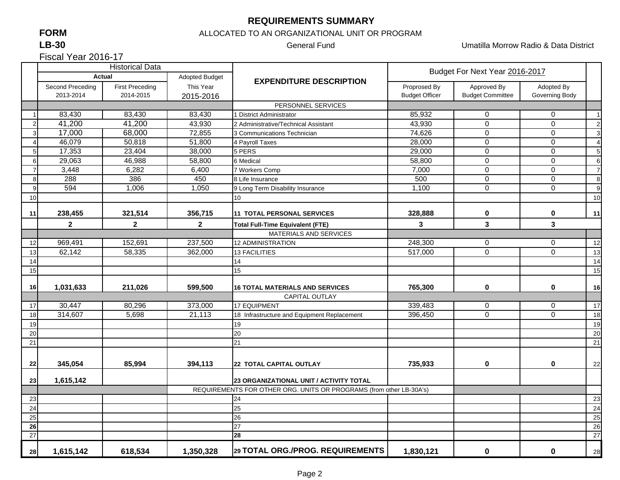#### **REQUIREMENTS SUMMARY**

## **FORM**

#### **LB-30**

Fiscal Year 2016-17

#### ALLOCATED TO AN ORGANIZATIONAL UNIT OR PROGRAM

General Fund Umatilla Morrow Radio & Data District

|                  |                  | <b>Historical Data</b> |                |                                                                                                                | Budget For Next Year 2016-2017 |                         |                |                 |
|------------------|------------------|------------------------|----------------|----------------------------------------------------------------------------------------------------------------|--------------------------------|-------------------------|----------------|-----------------|
|                  |                  | <b>Actual</b>          | Adopted Budget | <b>EXPENDITURE DESCRIPTION</b>                                                                                 |                                |                         |                |                 |
|                  | Second Preceding | <b>First Preceding</b> | This Year      |                                                                                                                | Proprosed By                   | Approved By             | Adopted By     |                 |
|                  | 2013-2014        | 2014-2015              | 2015-2016      |                                                                                                                | <b>Budget Officer</b>          | <b>Budget Committee</b> | Governing Body |                 |
|                  |                  |                        |                | PERSONNEL SERVICES                                                                                             |                                |                         |                |                 |
|                  | 83,430           | 83,430                 | 83,430         | 1 District Administrator                                                                                       | 85,932                         | 0                       | 0              | $\overline{1}$  |
| $\overline{2}$   | 41,200           | 41,200                 | 43,930         | 2 Administrative/Technical Assistant                                                                           | 43,930                         | $\overline{0}$          | $\mathbf 0$    | $\overline{2}$  |
| 3                | 17,000           | 68,000                 | 72,855         | 3 Communications Technician                                                                                    | 74,626                         | $\mathbf 0$             | $\mathbf 0$    | 3               |
| 4                | 46,079           | 50,818                 | 51,800         | 4 Payroll Taxes                                                                                                | 28,000                         | $\overline{0}$          | $\overline{0}$ | $\overline{4}$  |
| 5 <sup>1</sup>   | 17,353           | 23,404                 | 38,000         | 5 PERS                                                                                                         | 29,000                         | $\mathbf 0$             | $\mathbf 0$    | 5               |
| $6 \overline{6}$ | 29,063           | 46,988                 | 58,800         | 6 Medical                                                                                                      | 58,800                         | $\overline{0}$          | $\overline{0}$ | $6\phantom{1}6$ |
| $\overline{7}$   | 3,448            | 6,282                  | 6,400          | 7 Workers Comp                                                                                                 | 7,000                          | $\mathbf 0$             | $\mathbf 0$    | $\overline{7}$  |
| 8                | 288              | 386                    | 450            | 8 Life Insurance                                                                                               | 500                            | 0                       | $\mathbf 0$    | 8               |
| 9                | 594              | 1,006                  | 1,050          | 9 Long Term Disability Insurance                                                                               | 1,100                          | 0                       | $\Omega$       | 9               |
| 10               |                  |                        |                | 10                                                                                                             |                                |                         |                | 10              |
|                  |                  |                        |                |                                                                                                                |                                |                         |                |                 |
| 11               | 238,455          | 321,514                | 356,715        | 11 TOTAL PERSONAL SERVICES                                                                                     | 328,888                        | 0                       | 0              | 11              |
|                  | $\mathbf 2$      | $\mathbf{2}$           | $\mathbf{2}$   | <b>Total Full-Time Equivalent (FTE)</b>                                                                        | 3                              | 3                       | 3              |                 |
|                  |                  |                        |                | <b>MATERIALS AND SERVICES</b>                                                                                  |                                |                         |                |                 |
| 12               | 969,491          | 152,691                | 237,500        | <b>12 ADMINISTRATION</b>                                                                                       | 248,300                        | 0                       | $\mathbf 0$    | 12              |
| 13               | 62,142           | 58,335                 | 362,000        | <b>13 FACILITIES</b>                                                                                           | 517,000                        | $\overline{0}$          | $\mathbf 0$    | 13              |
| 14               |                  |                        |                | 14                                                                                                             |                                |                         |                | 14              |
| 15               |                  |                        |                | 15                                                                                                             |                                |                         |                | 15              |
|                  |                  |                        |                |                                                                                                                | 765,300                        |                         |                |                 |
| 16               | 1,031,633        | 211,026                | 599,500        | <b>16 TOTAL MATERIALS AND SERVICES</b>                                                                         |                                | 0                       | $\mathbf 0$    | 16              |
|                  |                  |                        |                | <b>CAPITAL OUTLAY</b>                                                                                          |                                |                         |                |                 |
| 17               | 30,447           | 80,296                 | 373,000        | <b>17 EQUIPMENT</b>                                                                                            | 339,483                        | $\mathbf 0$             | $\mathbf 0$    | 17              |
| 18               | 314,607          | 5,698                  | 21,113         | 18 Infrastructure and Equipment Replacement                                                                    | 396,450                        | $\mathbf 0$             | $\mathbf 0$    | 18              |
| 19               |                  |                        |                | 19                                                                                                             |                                |                         |                | 19              |
| 20               |                  |                        |                | 20                                                                                                             |                                |                         |                | 20              |
| 21               |                  |                        |                | 21                                                                                                             |                                |                         |                | 21              |
|                  |                  |                        |                |                                                                                                                |                                |                         |                |                 |
| 22               | 345,054          | 85,994                 | 394,113        | <b>22 TOTAL CAPITAL OUTLAY</b>                                                                                 | 735,933                        | 0                       | $\mathbf 0$    | 22              |
|                  |                  |                        |                |                                                                                                                |                                |                         |                |                 |
| 23               | 1,615,142        |                        |                | 23 ORGANIZATIONAL UNIT / ACTIVITY TOTAL<br>REQUIREMENTS FOR OTHER ORG. UNITS OR PROGRAMS (from other LB-30A's) |                                |                         |                |                 |
| 23               |                  |                        |                | 24                                                                                                             |                                |                         |                | 23              |
| 24               |                  |                        |                | 25                                                                                                             |                                |                         |                | 24              |
| 25               |                  |                        |                | 26                                                                                                             |                                |                         |                | 25              |
| 26               |                  |                        |                | 27                                                                                                             |                                |                         |                | 26              |
| 27               |                  |                        |                | 28                                                                                                             |                                |                         |                | 27              |
|                  |                  |                        |                |                                                                                                                |                                |                         |                |                 |
| 28               | 1,615,142        | 618,534                | 1,350,328      | 29 TOTAL ORG./PROG. REQUIREMENTS                                                                               | 1,830,121                      | 0                       | 0              | 28              |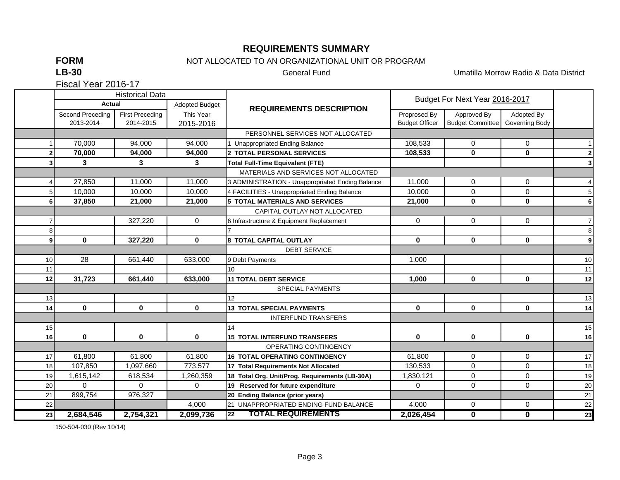### **REQUIREMENTS SUMMARY**

**FORM**

## NOT ALLOCATED TO AN ORGANIZATIONAL UNIT OR PROGRAM

**LB-30**

General Fund Umatilla Morrow Radio & Data District

Fiscal Year 2016-17

|                 |                  |                        | <b>Historical Data</b> |                                                  | Budget For Next Year 2016-2017 |                         |                         |                         |
|-----------------|------------------|------------------------|------------------------|--------------------------------------------------|--------------------------------|-------------------------|-------------------------|-------------------------|
|                 | <b>Actual</b>    |                        | Adopted Budget         | <b>REQUIREMENTS DESCRIPTION</b>                  |                                |                         |                         |                         |
|                 | Second Preceding | <b>First Preceding</b> | This Year              |                                                  | Proprosed By                   | Approved By             | Adopted By              |                         |
|                 | 2013-2014        | 2014-2015              | 2015-2016              |                                                  | <b>Budget Officer</b>          | <b>Budget Committee</b> | Governing Body          |                         |
|                 |                  |                        |                        | PERSONNEL SERVICES NOT ALLOCATED                 |                                |                         |                         |                         |
|                 | 70,000           | 94,000                 | 94,000                 | 1 Unappropriated Ending Balance                  | 108,533                        | 0                       | 0                       |                         |
|                 | 70,000           | 94,000                 | 94,000                 | 2 TOTAL PERSONAL SERVICES                        | 108,533                        | $\mathbf 0$             | $\mathbf 0$             | $\mathbf{2}$            |
|                 | 3                | 3                      | 3                      | <b>Total Full-Time Equivalent (FTE)</b>          |                                |                         |                         | $\overline{\mathbf{3}}$ |
|                 |                  |                        |                        | MATERIALS AND SERVICES NOT ALLOCATED             |                                |                         |                         |                         |
|                 | 27,850           | 11,000                 | 11,000                 | 3 ADMINISTRATION - Unappropriated Ending Balance | 11,000                         | 0                       | 0                       | $\overline{4}$          |
|                 | 10,000           | 10,000                 | 10,000                 | 4 FACILITIES - Unappropriated Ending Balance     | 10,000                         | $\Omega$                | 0                       | 5                       |
| 61              | 37,850           | 21,000                 | 21,000                 | <b>5 TOTAL MATERIALS AND SERVICES</b>            | 21,000                         | $\mathbf{0}$            | $\mathbf 0$             | $6\phantom{a}$          |
|                 |                  |                        |                        | CAPITAL OUTLAY NOT ALLOCATED                     |                                |                         |                         |                         |
|                 |                  | 327,220                | $\mathbf 0$            | 6 Infrastructure & Equipment Replacement         | $\mathbf 0$                    | 0                       | 0                       | 7 <sup>1</sup>          |
| 8               |                  |                        |                        |                                                  |                                |                         |                         | $\bf8$                  |
| 91              | $\mathbf 0$      | 327,220                | $\mathbf 0$            | <b>8 TOTAL CAPITAL OUTLAY</b>                    | 0                              | $\mathbf 0$             | $\mathbf 0$             | $\boldsymbol{9}$        |
|                 |                  |                        |                        | <b>DEBT SERVICE</b>                              |                                |                         |                         |                         |
| 10              | 28               | 661,440                | 633,000                | 9 Debt Payments                                  | 1,000                          |                         |                         | 10                      |
| 11              |                  |                        |                        | 10                                               |                                |                         |                         | 11                      |
| 12              | 31,723           | 661,440                | 633,000                | <b>11 TOTAL DEBT SERVICE</b>                     | 1,000                          | $\mathbf{0}$            | $\mathbf{0}$            | 12                      |
|                 |                  |                        |                        | <b>SPECIAL PAYMENTS</b>                          |                                |                         |                         |                         |
| 13              |                  |                        |                        | 12                                               |                                |                         |                         | 13                      |
| 14              | $\mathbf{0}$     | $\mathbf 0$            | $\mathbf 0$            | <b>13 TOTAL SPECIAL PAYMENTS</b>                 | $\mathbf 0$                    | $\mathbf 0$             | $\mathbf 0$             | 14                      |
|                 |                  |                        |                        | <b>INTERFUND TRANSFERS</b>                       |                                |                         |                         |                         |
| 15              |                  |                        |                        | 14                                               |                                |                         |                         | 15                      |
| 16 <sup>l</sup> | $\bf{0}$         | $\mathbf 0$            | $\bf{0}$               | <b>15 TOTAL INTERFUND TRANSFERS</b>              | 0                              | $\mathbf{0}$            | 0                       | 16                      |
|                 |                  |                        |                        | OPERATING CONTINGENCY                            |                                |                         |                         |                         |
| 17              | 61,800           | 61,800                 | 61,800                 | <b>16 TOTAL OPERATING CONTINGENCY</b>            | 61,800                         | 0                       | $\mathbf 0$             | 17                      |
| 18              | 107,850          | 1,097,660              | 773,577                | 17 Total Requirements Not Allocated              | 130,533                        | 0                       | 0                       | 18                      |
| 19              | 1,615,142        | 618,534                | 1,260,359              | 18 Total Org. Unit/Prog. Requirements (LB-30A)   | 1,830,121                      | 0                       | 0                       | 19                      |
| 20              | $\Omega$         | $\Omega$               | $\Omega$               | 19 Reserved for future expenditure               | $\Omega$                       | 0                       | 0                       | 20                      |
| 21              | 899,754          | 976,327                |                        | 20 Ending Balance (prior years)                  |                                |                         |                         | 21                      |
| 22              |                  |                        | 4,000                  | 21 UNAPPROPRIATED ENDING FUND BALANCE            | 4,000                          | 0                       | 0                       | 22                      |
| 23              | 2,684,546        | 2,754,321              | 2,099,736              | <b>TOTAL REQUIREMENTS</b><br>22                  | 2,026,454                      | $\overline{\mathbf{0}}$ | $\overline{\mathbf{0}}$ | 23                      |

150-504-030 (Rev 10/14)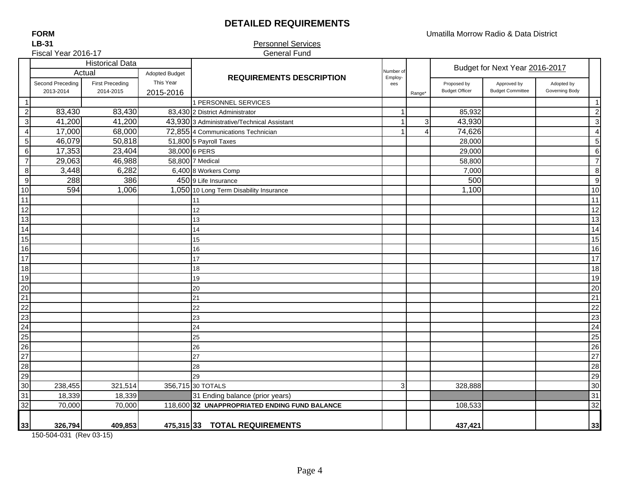## **DETAILED REQUIREMENTS**

Umatilla Morrow Radio & Data District

**FORMLB-31**

#### Personnel Services General Fund

|                         | Fiscal Year 2016-17 |                                  |                             | <b>General Fund</b>                           |                |                         |                       |                                |                |                 |
|-------------------------|---------------------|----------------------------------|-----------------------------|-----------------------------------------------|----------------|-------------------------|-----------------------|--------------------------------|----------------|-----------------|
|                         |                     | <b>Historical Data</b><br>Actual |                             |                                               | Number of      |                         |                       | Budget for Next Year 2016-2017 |                |                 |
|                         | Second Preceding    | <b>First Preceding</b>           | Adopted Budget<br>This Year | <b>REQUIREMENTS DESCRIPTION</b>               | Employ-        |                         | Proposed by           | Approved by                    | Adopted by     |                 |
|                         | 2013-2014           | 2014-2015                        | 2015-2016                   |                                               | ees            | Range*                  | <b>Budget Officer</b> | <b>Budget Committee</b>        | Governing Body |                 |
| $\mathbf{1}$            |                     |                                  |                             | 1 PERSONNEL SERVICES                          |                |                         |                       |                                |                | $\overline{1}$  |
| $\overline{c}$          | 83,430              | 83,430                           |                             | 83,430 2 District Administrator               |                |                         | 85,932                |                                |                | $\overline{2}$  |
| $\mathbf{3}$            | 41,200              | 41,200                           |                             | 43,930 3 Administrative/Technical Assistant   |                | 3                       | 43,930                |                                |                | $\mathbf{3}$    |
| $\overline{\mathbf{4}}$ | 17,000              | 68,000                           |                             | 72,855 4 Communications Technician            |                | $\overline{\mathbf{4}}$ | 74,626                |                                |                | $\overline{4}$  |
| $\mathbf 5$             | 46,079              | 50,818                           |                             | 51,800 5 Payroll Taxes                        |                |                         | 28,000                |                                |                | 5               |
| $\,6\,$                 | 17,353              | 23,404                           |                             | 38,000 6 PERS                                 |                |                         | 29,000                |                                |                | $\,6$           |
| $\overline{7}$          | 29,063              | 46,988                           |                             | 58,800 7 Medical                              |                |                         | 58,800                |                                |                | $\overline{7}$  |
| $\bf8$                  | 3,448               | 6,282                            |                             | 6,400 8 Workers Comp                          |                |                         | 7,000                 |                                |                | 8               |
| $\overline{9}$          | 288                 | 386                              |                             | 450 9 Life Insurance                          |                |                         | 500                   |                                |                | 9               |
| 10                      | 594                 | 1,006                            |                             | 1,050 10 Long Term Disability Insurance       |                |                         | 1,100                 |                                |                | 10              |
| 11                      |                     |                                  |                             | 11                                            |                |                         |                       |                                |                | 11              |
| 12                      |                     |                                  |                             | 12                                            |                |                         |                       |                                |                | 12              |
| 13                      |                     |                                  |                             | 13                                            |                |                         |                       |                                |                | 13              |
| 14                      |                     |                                  |                             | 14                                            |                |                         |                       |                                |                | 14              |
| 15                      |                     |                                  |                             | 15                                            |                |                         |                       |                                |                | 15              |
| 16                      |                     |                                  |                             | 16                                            |                |                         |                       |                                |                | 16              |
| 17                      |                     |                                  |                             | 17                                            |                |                         |                       |                                |                | 17              |
| 18                      |                     |                                  |                             | 18                                            |                |                         |                       |                                |                | 18              |
| 19                      |                     |                                  |                             | 19                                            |                |                         |                       |                                |                | 19              |
| 20                      |                     |                                  |                             | 20                                            |                |                         |                       |                                |                | 20              |
| 21                      |                     |                                  |                             | 21                                            |                |                         |                       |                                |                | 21              |
| 22                      |                     |                                  |                             | 22                                            |                |                         |                       |                                |                | 22              |
| 23                      |                     |                                  |                             | 23                                            |                |                         |                       |                                |                | 23              |
| $\overline{24}$         |                     |                                  |                             | 24                                            |                |                         |                       |                                |                | $\overline{24}$ |
| $\frac{25}{26}$         |                     |                                  |                             | 25                                            |                |                         |                       |                                |                | 25              |
|                         |                     |                                  |                             | 26                                            |                |                         |                       |                                |                | 26              |
| $\frac{12}{28}$         |                     |                                  |                             | 27                                            |                |                         |                       |                                |                | 27              |
|                         |                     |                                  |                             | 28                                            |                |                         |                       |                                |                | 28              |
| $\frac{1}{29}$          |                     |                                  |                             | 29                                            |                |                         |                       |                                |                | 29              |
| 30                      | 238,455             | 321,514                          |                             | 356,715 30 TOTALS                             | 3 <sup>1</sup> |                         | 328,888               |                                |                | 30              |
| 31                      | 18,339              | 18,339                           |                             | 31 Ending balance (prior years)               |                |                         |                       |                                |                | 31              |
| 32                      | 70,000              | 70,000                           |                             | 118,600 32 UNAPPROPRIATED ENDING FUND BALANCE |                |                         | 108,533               |                                |                | 32              |
| 33                      | 326,794             | 409,853                          |                             | 475,315 33 TOTAL REQUIREMENTS                 |                |                         | 437,421               |                                |                | 33              |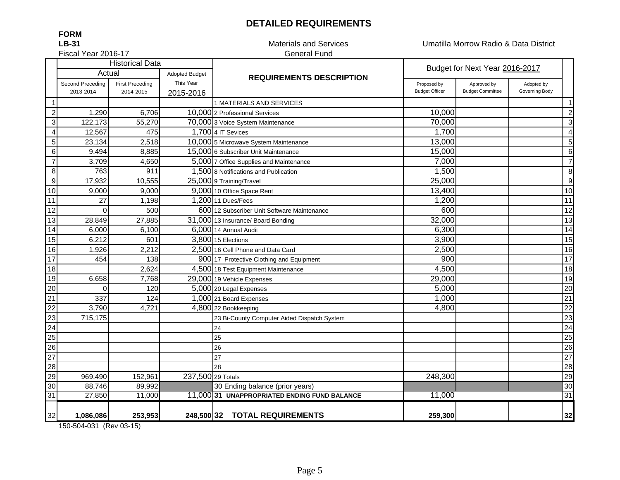## **DETAILED REQUIREMENTS**

Materials and Services Umatilla Morrow Radio & Data District

Fiscal Year 2016-17

**FORMLB-31**

# General Fund

|                  |                               | <b>Historical Data</b>              |                        |                                              |                                      | Budget for Next Year 2016-2017         |                              |                |  |
|------------------|-------------------------------|-------------------------------------|------------------------|----------------------------------------------|--------------------------------------|----------------------------------------|------------------------------|----------------|--|
|                  | Actual                        |                                     | <b>Adopted Budget</b>  | <b>REQUIREMENTS DESCRIPTION</b>              |                                      |                                        |                              |                |  |
|                  | Second Preceding<br>2013-2014 | <b>First Preceding</b><br>2014-2015 | This Year<br>2015-2016 |                                              | Proposed by<br><b>Budget Officer</b> | Approved by<br><b>Budget Committee</b> | Adopted by<br>Governing Body |                |  |
|                  |                               |                                     |                        | 1 MATERIALS AND SERVICES                     |                                      |                                        |                              | $\mathbf{1}$   |  |
| $\sqrt{2}$       | 1,290                         | 6,706                               |                        | 10,000 2 Professional Services               | 10,000                               |                                        |                              | $\overline{c}$ |  |
| $\mathbf{3}$     | 122,173                       | 55,270                              |                        | 70,000 3 Voice System Maintenance            | 70,000                               |                                        |                              | $\mathbf 3$    |  |
| $\overline{4}$   | 12,567                        | 475                                 |                        | 1,700 4 IT Sevices                           | 1,700                                |                                        |                              | $\overline{4}$ |  |
| $\sqrt{5}$       | 23,134                        | 2,518                               |                        | 10,000 5 Microwave System Maintenance        | 13,000                               |                                        |                              | 5              |  |
| $\,6$            | 9,494                         | 8,885                               |                        | 15,000 6 Subscriber Unit Maintenance         | 15,000                               |                                        |                              | 6              |  |
| $\overline{7}$   | 3,709                         | 4,650                               |                        | 5,000 7 Office Supplies and Maintenance      | 7,000                                |                                        |                              | $\overline{7}$ |  |
| $\,8\,$          | 763                           | 911                                 |                        | 1,500 8 Notifications and Publication        | 1,500                                |                                        |                              | 8              |  |
| $\boldsymbol{9}$ | 17,932                        | 10,555                              |                        | 25,000 9 Training/Travel                     | 25,000                               |                                        |                              | $9\,$          |  |
| $10$             | 9,000                         | 9,000                               |                        | 9,000 10 Office Space Rent                   | 13,400                               |                                        |                              | 10             |  |
| 11               | 27                            | 1,198                               |                        | 1,200 11 Dues/Fees                           | 1,200                                |                                        |                              | 11             |  |
| 12               | $\Omega$                      | 500                                 |                        | 600 12 Subscriber Unit Software Maintenance  | 600                                  |                                        |                              | 12             |  |
| 13               | 28,849                        | 27,885                              |                        | 31,000 13 Insurance/ Board Bonding           | 32,000                               |                                        |                              | 13             |  |
| 14               | 6,000                         | 6,100                               |                        | 6,000 14 Annual Audit                        | 6,300                                |                                        |                              | 14             |  |
| 15               | 6,212                         | 601                                 |                        | 3,800 15 Elections                           | 3,900                                |                                        |                              | 15             |  |
| 16               | 1,926                         | 2,212                               |                        | 2,500 16 Cell Phone and Data Card            | 2,500                                |                                        |                              | 16             |  |
| 17               | 454                           | 138                                 |                        | 900 17 Protective Clothing and Equipment     | 900                                  |                                        |                              | 17             |  |
| 18               |                               | 2,624                               |                        | 4,500 18 Test Equipment Maintenance          | 4,500                                |                                        |                              | 18             |  |
| 19               | 6,658                         | 7,768                               |                        | 29,000 19 Vehicle Expenses                   | 29,000                               |                                        |                              | 19             |  |
| 20               | $\Omega$                      | 120                                 |                        | 5,000 20 Legal Expenses                      | 5,000                                |                                        |                              | 20             |  |
| 21               | 337                           | 124                                 |                        | 1,000 21 Board Expenses                      | 1,000                                |                                        |                              | 21             |  |
| 22               | 3,790                         | 4,721                               |                        | 4,800 22 Bookkeeping                         | 4,800                                |                                        |                              | 22             |  |
| 23               | 715,175                       |                                     |                        | 23 Bi-County Computer Aided Dispatch System  |                                      |                                        |                              | 23             |  |
| $\overline{24}$  |                               |                                     |                        | 24                                           |                                      |                                        |                              | 24             |  |
| 25               |                               |                                     |                        | 25                                           |                                      |                                        |                              | 25             |  |
| 26               |                               |                                     |                        | 26                                           |                                      |                                        |                              | 26             |  |
| 27               |                               |                                     |                        | 27                                           |                                      |                                        |                              | 27             |  |
| 28               |                               |                                     |                        | 28                                           |                                      |                                        |                              | 28             |  |
| 29               | 969,490                       | 152,961                             | 237,500 29 Totals      |                                              | 248,300                              |                                        |                              | 29             |  |
| 30               | 88,746                        | 89,992                              |                        | 30 Ending balance (prior years)              |                                      |                                        |                              | 30             |  |
| 31               | 27,850                        | 11,000                              |                        | 11,000 31 UNAPPROPRIATED ENDING FUND BALANCE | 11,000                               |                                        |                              | 31             |  |
| 32               | 1,086,086                     | 253,953                             |                        | 248,500 32 TOTAL REQUIREMENTS                | 259,300                              |                                        |                              | 32             |  |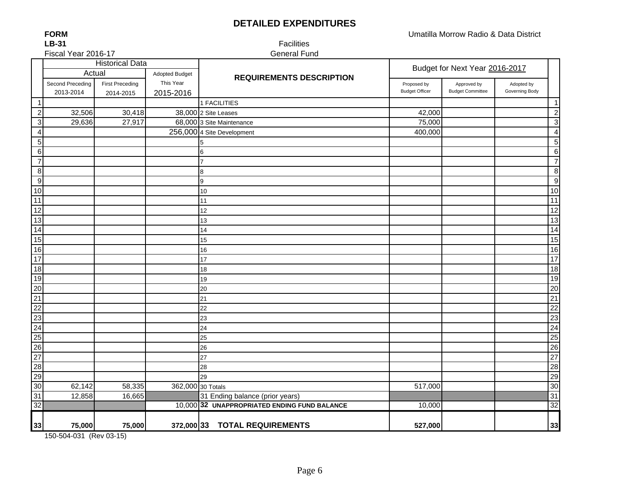## **DETAILED EXPENDITURES**

**FORMLB-31**

Fiscal Year 2016-17

 Facilities General Fund

|                           | <b>Historical Data</b> |                        |                       |                                              | Budget for Next Year 2016-2017 |                         |                |                       |
|---------------------------|------------------------|------------------------|-----------------------|----------------------------------------------|--------------------------------|-------------------------|----------------|-----------------------|
|                           | Actual                 |                        | <b>Adopted Budget</b> | <b>REQUIREMENTS DESCRIPTION</b>              |                                |                         |                |                       |
|                           | Second Preceding       | <b>First Preceding</b> | This Year             |                                              | Proposed by                    | Approved by             | Adopted by     |                       |
|                           | 2013-2014              | 2014-2015              | 2015-2016             |                                              | <b>Budget Officer</b>          | <b>Budget Committee</b> | Governing Body |                       |
| $\mathbf 1$               |                        |                        |                       | 1 FACILITIES                                 |                                |                         |                | $\mathbf{1}$          |
| $\overline{2}$            | 32,506                 | 30,418                 |                       | 38,000 2 Site Leases                         | 42,000                         |                         |                | $\overline{a}$        |
| $\ensuremath{\mathsf{3}}$ | 29,636                 | 27,917                 |                       | 68,000 3 Site Maintenance                    | 75,000                         |                         |                | $\overline{3}$        |
| 4                         |                        |                        |                       | 256,000 4 Site Development                   | 400,000                        |                         |                | $\overline{4}$        |
| 5                         |                        |                        |                       | 5                                            |                                |                         |                | 5                     |
| 6                         |                        |                        |                       | 6                                            |                                |                         |                | $\overline{6}$        |
| $\overline{7}$            |                        |                        |                       | 7                                            |                                |                         |                | $\overline{7}$        |
| $\,8\,$                   |                        |                        |                       | 8                                            |                                |                         |                | $\overline{8}$        |
| $\boldsymbol{9}$          |                        |                        |                       | 9                                            |                                |                         |                | $\overline{9}$        |
| 10                        |                        |                        |                       | 10                                           |                                |                         |                | 10                    |
| 11                        |                        |                        |                       | 11                                           |                                |                         |                | 11                    |
| $\overline{12}$           |                        |                        |                       | 12                                           |                                |                         |                | 12                    |
| 13                        |                        |                        |                       | 13                                           |                                |                         |                | 13                    |
| 14                        |                        |                        |                       | 14                                           |                                |                         |                | $\overline{14}$       |
| 15                        |                        |                        |                       | 15                                           |                                |                         |                | 15                    |
| 16                        |                        |                        |                       | 16                                           |                                |                         |                | 16                    |
| 17                        |                        |                        |                       | 17                                           |                                |                         |                | 17                    |
| $\overline{18}$<br>19     |                        |                        |                       | 18                                           |                                |                         |                | $\overline{18}$       |
|                           |                        |                        |                       | 19                                           |                                |                         |                | 19                    |
| 20<br>21                  |                        |                        |                       | 20                                           |                                |                         |                | 20<br>$\overline{21}$ |
| 22                        |                        |                        |                       | 21<br>22                                     |                                |                         |                | 22                    |
| 23                        |                        |                        |                       |                                              |                                |                         |                | $\overline{23}$       |
| 24                        |                        |                        |                       | 23<br>24                                     |                                |                         |                | 24                    |
| $\overline{25}$           |                        |                        |                       | 25                                           |                                |                         |                | $\overline{25}$       |
| $\overline{26}$           |                        |                        |                       | 26                                           |                                |                         |                | $\overline{26}$       |
| $\overline{27}$           |                        |                        |                       | 27                                           |                                |                         |                | $\overline{27}$       |
| 28                        |                        |                        |                       | 28                                           |                                |                         |                | $\overline{28}$       |
| 29                        |                        |                        |                       | 29                                           |                                |                         |                | 29                    |
| 30                        | 62,142                 | 58,335                 | 362,000 30 Totals     |                                              | 517,000                        |                         |                | 30                    |
| 31                        | 12,858                 | 16,665                 |                       | 31 Ending balance (prior years)              |                                |                         |                | 31                    |
| 32                        |                        |                        |                       | 10,000 32 UNAPPROPRIATED ENDING FUND BALANCE | 10,000                         |                         |                | 32                    |
|                           |                        |                        |                       |                                              |                                |                         |                |                       |
| 33                        | 75,000                 | 75,000                 |                       | 372,000 33 TOTAL REQUIREMENTS                | 527,000                        |                         |                | 33                    |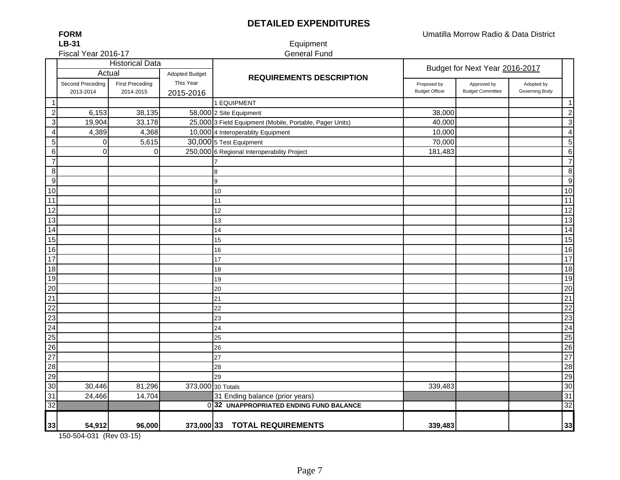## **DETAILED EXPENDITURES**

Umatilla Morrow Radio & Data District

**LB-31**Fiscal Year 2016-17

**FORM**

#### Equipment General Fund

|                  |                               | <b>Historical Data</b>              |                        |                                                          | Budget for Next Year 2016-2017       |                                        |                              |                         |
|------------------|-------------------------------|-------------------------------------|------------------------|----------------------------------------------------------|--------------------------------------|----------------------------------------|------------------------------|-------------------------|
|                  | Actual                        |                                     | <b>Adopted Budget</b>  | <b>REQUIREMENTS DESCRIPTION</b>                          |                                      |                                        |                              |                         |
|                  | Second Preceding<br>2013-2014 | <b>First Preceding</b><br>2014-2015 | This Year<br>2015-2016 |                                                          | Proposed by<br><b>Budget Officer</b> | Approved by<br><b>Budget Committee</b> | Adopted by<br>Governing Body |                         |
| $\overline{1}$   |                               |                                     |                        | 1 EQUIPMENT                                              |                                      |                                        |                              | $\mathbf{1}$            |
| $\overline{c}$   | 6,153                         | 38,135                              |                        | 58,000 2 Site Equipment                                  | 38,000                               |                                        |                              | $\overline{\mathbf{c}}$ |
| $\sqrt{3}$       | 19,904                        | 33,178                              |                        | 25,000 3 Field Equipment (Mobile, Portable, Pager Units) | 40,000                               |                                        |                              | $\mathbf{3}$            |
| $\overline{4}$   | 4,389                         | 4,368                               |                        | 10,000 4 Interoperablity Equipment                       | 10,000                               |                                        |                              | $\overline{4}$          |
| $\mathbf 5$      | 0                             | 5,615                               |                        | 30,000 5 Test Equipment                                  | 70,000                               |                                        |                              | $\sqrt{5}$              |
| $\,6\,$          | $\mathbf 0$                   | 0                                   |                        | 250,000 6 Regional Interoperability Project              | 181,483                              |                                        |                              | $\,6\,$                 |
| $\overline{7}$   |                               |                                     |                        |                                                          |                                      |                                        |                              | $\overline{7}$          |
| $\bf 8$          |                               |                                     |                        | 8                                                        |                                      |                                        |                              | $\,$ 8 $\,$             |
| $\boldsymbol{9}$ |                               |                                     |                        | 9                                                        |                                      |                                        |                              | $\boldsymbol{9}$        |
| 10               |                               |                                     |                        | 10                                                       |                                      |                                        |                              | 10                      |
| 11               |                               |                                     |                        | 11                                                       |                                      |                                        |                              | 11                      |
| 12               |                               |                                     |                        | 12                                                       |                                      |                                        |                              | 12                      |
| 13               |                               |                                     |                        | 13                                                       |                                      |                                        |                              | 13                      |
| $\overline{14}$  |                               |                                     |                        | 14                                                       |                                      |                                        |                              | $\overline{14}$         |
| 15               |                               |                                     |                        | 15                                                       |                                      |                                        |                              | 15                      |
| 16               |                               |                                     |                        | 16                                                       |                                      |                                        |                              | 16                      |
| $\overline{17}$  |                               |                                     |                        | 17                                                       |                                      |                                        |                              | 17                      |
| $\overline{18}$  |                               |                                     |                        | 18                                                       |                                      |                                        |                              | 18                      |
| 19               |                               |                                     |                        | 19                                                       |                                      |                                        |                              | 19                      |
| $\overline{20}$  |                               |                                     |                        | 20                                                       |                                      |                                        |                              | 20                      |
| $\overline{21}$  |                               |                                     |                        | 21                                                       |                                      |                                        |                              | 21                      |
| $\overline{22}$  |                               |                                     |                        | 22                                                       |                                      |                                        |                              | 22                      |
| 23               |                               |                                     |                        | 23                                                       |                                      |                                        |                              | 23                      |
| 24               |                               |                                     |                        | 24                                                       |                                      |                                        |                              | $\overline{24}$         |
| 25               |                               |                                     |                        | 25                                                       |                                      |                                        |                              | $\overline{25}$         |
| 26               |                               |                                     |                        | 26                                                       |                                      |                                        |                              | 26                      |
| $\overline{27}$  |                               |                                     |                        | 27                                                       |                                      |                                        |                              | 27                      |
| 28               |                               |                                     |                        | 28                                                       |                                      |                                        |                              | 28                      |
| 29               |                               |                                     |                        | 29                                                       |                                      |                                        |                              | 29                      |
| 30               | 30,446                        | 81,296                              | 373,000 30 Totals      |                                                          | 339,483                              |                                        |                              | 30                      |
| 31               | 24,466                        | 14,704                              |                        | 31 Ending balance (prior years)                          |                                      |                                        |                              | 31                      |
| $\overline{32}$  |                               |                                     |                        | 032 UNAPPROPRIATED ENDING FUND BALANCE                   |                                      |                                        |                              | 32                      |
| 33               | 54,912                        | 96,000                              |                        | 373,000 33 TOTAL REQUIREMENTS                            | 339,483                              |                                        |                              | 33                      |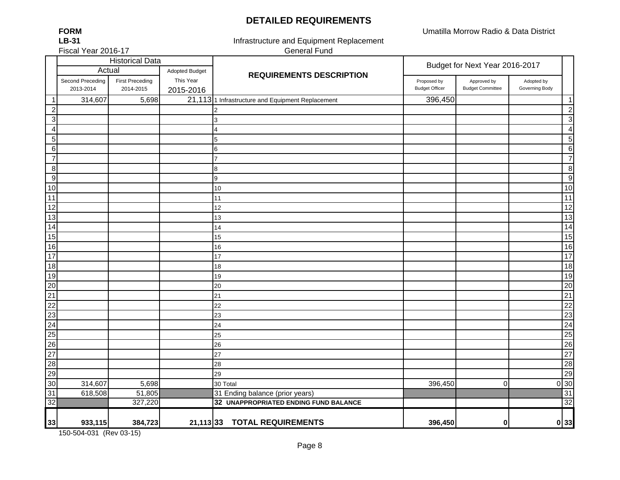#### **DETAILED REQUIREMENTS**

Umatilla Morrow Radio & Data District

÷

| <b>FORM</b>         |
|---------------------|
| LB-31               |
| Fiscal Year 2016-17 |

General Fund Infrastructure and Equipment Replacement

|                         |                               | <b>Historical Data</b>              |                        |                                                   |                                      |                                        |                              |                  | Budget for Next Year 2016-2017 |  |
|-------------------------|-------------------------------|-------------------------------------|------------------------|---------------------------------------------------|--------------------------------------|----------------------------------------|------------------------------|------------------|--------------------------------|--|
|                         | Actual                        |                                     | <b>Adopted Budget</b>  | <b>REQUIREMENTS DESCRIPTION</b>                   |                                      |                                        |                              |                  |                                |  |
|                         | Second Preceding<br>2013-2014 | <b>First Preceding</b><br>2014-2015 | This Year<br>2015-2016 |                                                   | Proposed by<br><b>Budget Officer</b> | Approved by<br><b>Budget Committee</b> | Adopted by<br>Governing Body |                  |                                |  |
|                         | 314,607                       | 5,698                               |                        | 21,113 1 Infrastructure and Equipment Replacement | 396,450                              |                                        |                              | $\mathbf{1}$     |                                |  |
| $\boldsymbol{2}$        |                               |                                     |                        | 2                                                 |                                      |                                        |                              | $\overline{c}$   |                                |  |
| $\mathbf{3}$            |                               |                                     |                        | 3                                                 |                                      |                                        |                              | $\mathbf{3}$     |                                |  |
| $\overline{\mathbf{4}}$ |                               |                                     |                        | 4                                                 |                                      |                                        |                              | $\overline{4}$   |                                |  |
| 5 <sub>5</sub>          |                               |                                     |                        | 5                                                 |                                      |                                        |                              | $\sqrt{5}$       |                                |  |
| $6 \mid$                |                               |                                     |                        | 6                                                 |                                      |                                        |                              | $6\phantom{1}6$  |                                |  |
| $\overline{7}$          |                               |                                     |                        | 7                                                 |                                      |                                        |                              | $\overline{7}$   |                                |  |
| 8 <sup>1</sup>          |                               |                                     |                        | 8                                                 |                                      |                                        |                              | 8                |                                |  |
| $\overline{9}$          |                               |                                     |                        | 9                                                 |                                      |                                        |                              | $9\,$            |                                |  |
| 10                      |                               |                                     |                        | 10                                                |                                      |                                        |                              | 10               |                                |  |
| 11                      |                               |                                     |                        | 11                                                |                                      |                                        |                              | 11               |                                |  |
| 12                      |                               |                                     |                        | 12                                                |                                      |                                        |                              | $\overline{12}$  |                                |  |
| 13                      |                               |                                     |                        | 13                                                |                                      |                                        |                              | 13               |                                |  |
| 14                      |                               |                                     |                        | 14                                                |                                      |                                        |                              | 14               |                                |  |
| 15                      |                               |                                     |                        | 15                                                |                                      |                                        |                              | 15               |                                |  |
| 16                      |                               |                                     |                        | 16                                                |                                      |                                        |                              | 16               |                                |  |
| 17                      |                               |                                     |                        | 17                                                |                                      |                                        |                              | 17               |                                |  |
| 18                      |                               |                                     |                        | 18                                                |                                      |                                        |                              | 18               |                                |  |
| 19                      |                               |                                     |                        | 19                                                |                                      |                                        |                              | 19               |                                |  |
| $\overline{20}$         |                               |                                     |                        | 20                                                |                                      |                                        |                              | 20               |                                |  |
| $\overline{21}$         |                               |                                     |                        | 21                                                |                                      |                                        |                              | 21               |                                |  |
| $\overline{22}$         |                               |                                     |                        | 22                                                |                                      |                                        |                              | $\overline{22}$  |                                |  |
| 23                      |                               |                                     |                        | 23                                                |                                      |                                        |                              | 23               |                                |  |
| 24                      |                               |                                     |                        | 24                                                |                                      |                                        |                              | $\overline{24}$  |                                |  |
| $\overline{25}$         |                               |                                     |                        | 25                                                |                                      |                                        |                              | 25               |                                |  |
| $\overline{26}$         |                               |                                     |                        | 26                                                |                                      |                                        |                              | 26               |                                |  |
| 27                      |                               |                                     |                        | 27                                                |                                      |                                        |                              | $\overline{27}$  |                                |  |
| 28                      |                               |                                     |                        | 28                                                |                                      |                                        |                              | 28               |                                |  |
| 29                      |                               |                                     |                        | 29                                                |                                      |                                        |                              | 29               |                                |  |
| 30                      | 314,607                       | 5,698                               |                        | 30 Total                                          | 396,450                              | 0                                      |                              | $0\overline{30}$ |                                |  |
| 31                      | 618,508                       | 51,805                              |                        | 31 Ending balance (prior years)                   |                                      |                                        |                              | 31               |                                |  |
| 32                      |                               | 327,220                             |                        | 32 UNAPPROPRIATED ENDING FUND BALANCE             |                                      |                                        |                              | 32               |                                |  |
| 33                      | 933,115                       | 384,723                             | $21,113$ 33            | <b>TOTAL REQUIREMENTS</b>                         | 396,450                              | 0                                      |                              | 0 33             |                                |  |